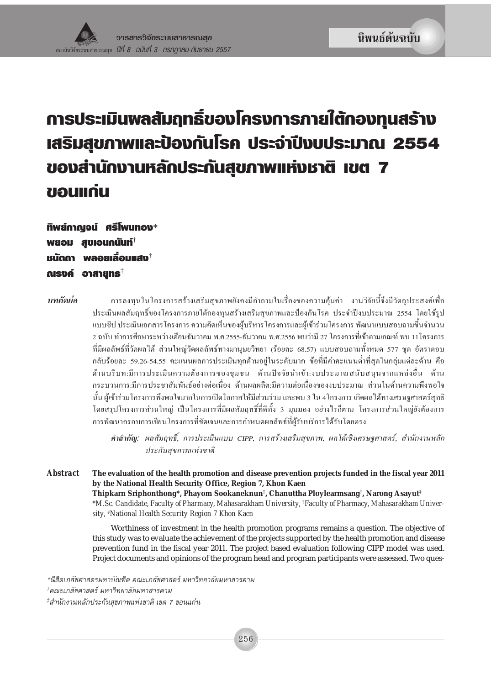# การประเมินพลสัมฤทธิ์ของโครงการภายใต้กองทุนสร้าง เสริมสุขภาพและป้องกันโรค ประจำปีงบประมาณ 2554 ของสำนักงานหลักประกันสุขภาพแห่งชาติ เขต 7 ขอนแก่น

ทิพย์กาญจน์ ศรีโพนทอง\* พยอม สบเอนกนันท์ หนัดกา พลอยเลื่อนแสง<sup>†</sup> ณรงค์ อาสายทร $^{\ddagger}$ 

บทดัดย่อ

การลงทนในโครงการสร้างเสริมสขภาพยังคงมีคำถามในเรื่องของความค้มค่า งานวิจัยนี้จึงมีวัตถประสงค์เพื่อ ประเมินผลสัมฤทธิ์ของโครงการภายใต้กองทนสร้างเสริมสขภาพและป้องกันโรค ประจำปีงบประมาณ 2554 โดยใช้รป แบบซิป ประเมินเอกสารโครงการ ความคิดเห็นของผ้บริหารโครงการและผ้เข้าร่วมโครงการ พัฒนาแบบสอบถามขึ้นจำนวน ่ 2 ฉบับ ทำการศึกษาระหว่างเดือนธันวาคม พ.ศ.2555-ธันวาคม พ.ศ.2556 พบว่ามี 27 โครงการที่เข้าตามเกณฑ์ พบ 11โครงการ ที่มีผลลัพธ์ที่วัดผลได้ ส่วนใหญ่วัดผลลัพธ์ทางมานุษยวิทยา (ร้อยละ 68.57) แบบสอบถามทั้งหมด 577 ชุด อัตราตอบ ึกลับร้อยละ 59.26-54.55 คะแนนผลการประเมินทกค้านอย่ในระดับมาก ข้อที่มีค่าคะแนนต่ำที่สดในกล่มแต่ละด้าน คือ ด้านบริบท:มีการประเมินความต้องการของชมชน ด้านปัจจัยนำเข้า:งบประมาณสนับสนนจากแหล่งอื่น ด้าน ้กระบวนการ:มีการประชาสัมพันธ์อย่างต่อเนื่อง ด้านผลผลิต:มีความต่อเนื่องของงบประมาณ ส่วนในด้านความพึงพอใจ ้นั้น ผู้เข้าร่วมโครงการพึงพอใจมากในการเปิดโอกาสให้มีส่วนร่วม และพบ 3 ใน 4โครงการ เกิดผลได้ทางเศรษจศาสตร์สทธิ์ โดยสรุปโครงการส่วนใหญ่ เป็นโครงการที่มีผลสัมฤทธิ์ที่ดีทั้ง 3 มุมมอง อย่างไรก็ตาม โครงการส่วนใหญ่ยังต้องการ การพัฒนากรอบการเขียนโครงการที่ชัดเจนและการกำหนดผลลัพธ์ที่ผู้รับบริการได้รับโดยตรง

คำสำคัญ: ผลสัมฤทธิ์, การประเมินแบบ CIPP, การสร้างเสริมสุขภาพ, ผลใด้เชิงเศรษฐศาสตร์, สำนักงานหลัก ประกันสุขภาพแห่งชาติ

**Abstract** The evaluation of the health promotion and disease prevention projects funded in the fiscal year 2011 by the National Health Security Office, Region 7, Khon Kaen Thipkarn Sriphonthong\*, Phayom Sookaneknun<sup>†</sup>, Chanuttha Ploylearmsang<sup>†</sup>, Narong Asayut<sup>‡</sup> \*M.Sc. Candidate, Faculty of Pharmacy, Mahasarakham University, <sup>†</sup>Faculty of Pharmacy, Mahasarakham University, <sup>†</sup>National Health Security Region 7 Khon Kaen

> Worthiness of investment in the health promotion programs remains a question. The objective of this study was to evaluate the achievement of the projects supported by the health promotion and disease prevention fund in the fiscal year 2011. The project based evaluation following CIPP model was used. Project documents and opinions of the program head and program participants were assessed. Two ques-

<sup>\*</sup>นิสิตเภสัชศาสตรมหาบัณฑิต คณะเภสัชศาสตร์ มหาวิทยาลัยมหาสารคาม

<sup>†</sup>คณะเภสัชศาสตร์ มหาวิทยาลัยมหาสารคาม

<sup>≠๋</sup>สำนักงานหลักประกันสุขภาพแห่งชาติ เขต 7 ขอนแก่น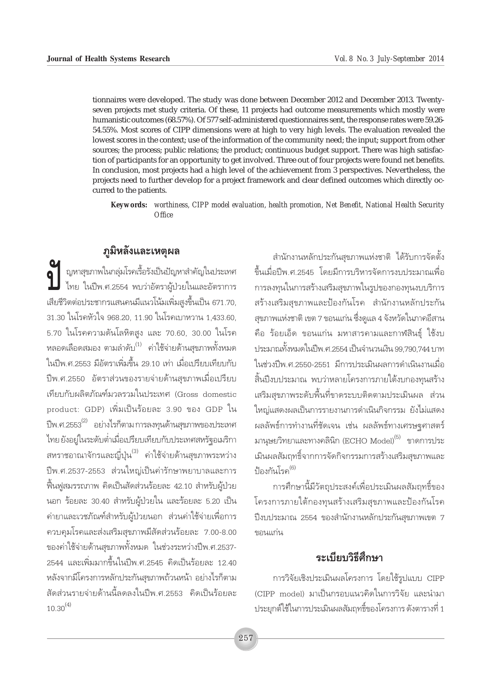tionnaires were developed. The study was done between December 2012 and December 2013. Twentyseven projects met study criteria. Of these, 11 projects had outcome measurements which mostly were humanistic outcomes (68.57%). Of 577 self-administered questionnaires sent, the response rates were 59.26- 54.55%. Most scores of CIPP dimensions were at high to very high levels. The evaluation revealed the lowest scores in the context; use of the information of the community need; the input; support from other sources; the process; public relations; the product; continuous budget support. There was high satisfaction of participants for an opportunity to get involved. Three out of four projects were found net benefits. In conclusion, most projects had a high level of the achievement from 3 perspectives. Nevertheless, the projects need to further develop for a project framework and clear defined outcomes which directly occurred to the patients.

*Keywords: worthiness, CIPP model evaluation, health promotion, Net Benefit, National Health Security Office*

# $\overline{\mathbf{\mathfrak{q}}}$ มิหลังและเหตุผล

 $\sum_{n=1}^{\infty}$  ญหาสุขภาพในกลุ่มโรคเรื้อรังเป็นปัญหาสำคัญในประเทศ<br>— ไทย ในปีพ.ศ.2554 พบว่าอัตราผู้ป่วยในและอัตราการ  $\big\}$  ไทย ในปีพ.ศ.2554 พบว่าอัตราผู้ป่วยในและอัตราการ เสียชีวิตต่อประชากรแสนคนมีแนวโน้มเพิ่มสงขึ้นเป็น 671.70, 31.30 ในโรคหัวใจ 968.20, 11.90 ในโรคเบาหวาน 1,433.60, 5.70 ในโรคความดันโลหิตสูง และ 70.60, 30.00 ในโรค หลอดเลือดสมอง ตามลำดับ $^{(1)}$  ค่าใช้จ่ายด้านสุขภาพทั้งหมด ในปีพ.ศ.2553 มีอัตราเพิ่มขึ้น 29.10 เท่า เมื่อเปรียบเทียบกับ <u>ปีพ.ศ.2550 อัตราส่วนของรายจ่ายด้านสุขภาพเมื่อเปรียบ</u> เทียบกับผลิตภัณฑ์มวลรวมในประเทศ (Gross domestic product: GDP) เพิ่มเป็นร้อยละ 3.90 ของ GDP ใน ์ปีพ.ศ.2553 $^{(2)}$  อย่างไรก็ตาม การลงทุนด้านสุขภาพของประเทศ ู้ไทย ยังอยู่ในระดับต่ำเมื่อเปรียบเทียบกับประเทศสหรัฐอเมริกา สหราชอาณาจักรและญี่ปุ่น<sup>(3)</sup> ค่าใช้จ่ายด้านสุขภาพระหว่าง ปีพ.ศ.2537-2553 ส่วนใหญ่เป็นค่ารักษาพยาบาลและการ ู้ฟื้นฟสมรรถภาพ คิดเป็นสัดส่วนร้อยละ 42.10 สำหรับผ้ป่วย นอก ร้อยละ 30.40 สำหรับผู้ป่วยใน และร้อยละ 5.20 เป็น ค่ายาและเวชภัณฑ์สำหรับผู้ป่วยนอก ส่วนค่าใช้จ่ายเพื่อการ ควบคุมโรคและส่งเสริมสุขภาพมีสัดส่วนร้อยละ 7.00-8.00 ของค่าใช้จ่ายด้านสุขภาพทั้งหมด ในช่วงระหว่างปีพ.ศ.2537-ี 2544 และเพิ่มมากขึ้นในปีพ.ศ.2545 คิดเป็นร้อยละ 12.40 หลังจากมีโครงการหลักประกันสขภาพถ้วนหน้า อย่างไรก็ตาม สัดส่วนรายจ่ายด้านนี้ลดลงในปีพ.ศ.2553 คิดเป็นร้อยละ  $10.30^{(4)}$ 

สำนักงานหลักประกันสุขภาพแห่งชาติ ได้รับการจัดตั้ง ู้ขึ้นเมื่อปีพ.ศ.2545 โดยมีการบริหารจัดการงบประมาณเพื่อ ึการลงทนในการสร้างเสริมสขภาพในรปของกองทนงบบริการ สร้างเสริมสุขภาพและป้องกันโรค สำนักงานหลักประกัน สุขภาพแห่งชาติ เขต 7 ขอนแก่น ซึ่งดูแล 4 จังหวัดในภาคอีสาน คือ ร้อยเอ็ด ขอนแก่น มหาสารคามและกาฬสินธุ์ ใช้งบ ูประมาณทั้งหมดในปีพ.ศ.2554 เป็นจำนวนเงิน 99,790,744 บาท ในช่วงปีพ.ศ.2550-2551 มีการประเมินผลการดำเนินงานเมื่อ สิ้นปีงบประมาณ พบว่าหลายโครงการภายใต้งบกองทุนสร้าง ้ เสริมสุขภาพระดับพื้นที่ขาดระบบติดตามประเมินผล ส่วน <u>ใหญ่แสดงผลเป็นการรายงานการดำเนินกิจกรรม ยังไม่แสดง</u> ี ผลลัพธ์การทำงานที่ชัดเจน เช่น ผลลัพธ์ทางเศรษฐศาสตร์ มานุษยวิทยาและทางคลินิก (ECHO Model) $^{(5)}$  ขาดการประ ู้เมินผลสัมฤทธิ์จากการจัดกิจกรรมการสร้างเสริมสุขภาพและ ป้องกันโรค $^{(6)}$ 

การศึกษานี้มีวัตถุประสงค์เพื่อประเมินผลสัมฤทธิ์ของ โครงการภายใต้กองทุนสร้างเสริมสุขภาพและป้องกันโรค ปีงบประมาณ 2554 ของสำนักงานหลักประกันสุขภาพเขต 7 ขอนแก่น

# **ระเ**บียบวิธีดีกษา

การวิจัยเชิงประเมินผลโครงการ โดยใช้รูปแบบ CIPP (CIPP model) มาเป็นกรอบแนวคิดในการวิจัย และนำมา ประยุกต์ใช้ในการประเมินผลสัมฤทธิ์ของโครงการ ดังตารางที่ 1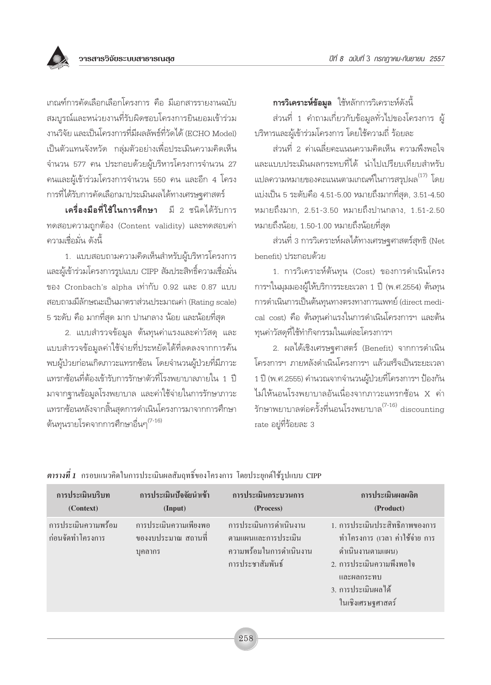เกณฑ์การคัดเลือกเลือกโครงการ คือ มีเอกสารรายงานฉบับ สมบุรณ์และหน่วยงานที่รับผิดชอบโครงการยินยอมเข้าร่วม งานวิจัย และเป็นโครงการที่มีผลลัพธ์ที่วัดได้ (ECHO Model) เป็นตัวแทนจังหวัด กลุ่มตัวอย่างเพื่อประเมินความคิดเห็น จำนวน 577 คน ประกอบด้วยผู้บริหารโครงการจำนวน 27 คนและผู้เข้าร่วมโครงการจำนวน 550 คน และอีก 4 โครง การที่ได้รับการคัดเลือกมาประเมินผลได้ทางเศรษฐศาสตร์

เครื่องมือที่ใช้ในการศึกษา มี 2 ชนิดได้รับการ ทดสอบความถกต้อง (Content validity) และทดสอบค่า ้ความเชื่อมั่น ดังนี้

1. แบบสอบถามความคิดเห็นสำหรับผู้บริหารโครงการ และผู้เข้าร่วมโครงการรูปแบบ CIPP สัมประสิทธิ์ความเชื่อมั่น ของ Cronbach's alpha เท่ากับ 0.92 และ 0.87 แบบ สอบถามมีลักษณะเป็นมาตราส่วนประมาณค่า (Rating scale) ี 5 ระดับ คือ มากที่สุด มาก ปานกลาง น้อย และน้อยที่สุด

2. แบบสำรวจข้อมูล ต้นทุนค่าแรงและค่าวัสดุ และ แบบสำรวจข้อมูลค่าใช้จ่ายที่ประหยัดได้ที่ลดลงจากการค้น พบผู้ป่วยก่อนเกิดภาวะแทรกซ้อน โดยจำนวนผู้ป่วยที่มีภาวะ แทรกซ้อนที่ต้องเข้ารับการรักษาตัวที่โรงพยาบาลภายใน 1 ปี มาจากจานข้อมูลโรงพยาบาล และค่าใช้จ่ายในการรักษาภาวะ แทรกซ้อนหลังจากสิ้นสุดการดำเนินโครงการมาจากการศึกษา ต้นทนรายโรคจากการศึกษาอื่นๆ<sup>(7-16)</sup>

**การวิเคราะห์ข้อมูล** ใช้หลักการวิเคราะห์ดังนี้

้ส่วนที่ 1 คำถามเกี่ยวกับข้อมูลทั่วไปของโครงการ ผู้ บริหารและผ้เข้าร่วมโครงการ โดยใช้ความถี่ ร้อยละ

ส่วนที่ 2 ค่าเฉลี่ยคะแนนความคิดเห็น ความพึงพอใจ และแบบประเมินผลกระทบที่ได้ นำไปเปรียบเทียบสำหรับ แปลความหมายของคะแนนตามเกณฑ์ในการสรุปผล<sup>(17)</sup> โดย แบ่งเป็น 5 ระดับคือ 4.51-5.00 หมายถึงมากที่สด. 3.51-4.50 หมายถึงมาก, 2.51-3.50 หมายถึงปานกลาง, 1.51-2.50 หมายถึงน้อย, 1.50-1.00 หมายถึงน้อยที่สด

้ส่วนที่ 3 การวิเคราะห์ผลได้ทางเศรษฐศาสตร์สุทธิ (Net benefit) ประกอบด้วย

1. การวิเคราะห์ต้นทุน (Cost) ของการดำเนินโครง การฯในมุมมองผู้ให้บริการระยะเวลา 1 ปี (พ.ศ.2554) ต้นทุน การดำเนินการเป็นต้นทุนทางตรงทางการแพทย์ (direct medical cost) คือ ต้นทุนค่าแรงในการดำเนินโครงการฯ และต้น ทุนค่าวัสดุที่ใช้ทำกิจกรรมในแต่ละโครงการฯ

2. ผลได้เชิงเศรษฐศาสตร์ (Benefit) จากการดำเนิน โครงการฯ ภายหลังดำเนินโครงการฯ แล้วเสร็จเป็นระยะเวลา 1 ปี (พ.ศ.2555) คำนวณจากจำนวนผู้ป่วยที่โครงการฯ ป้องกัน ไม่ให้นอนโรงพยาบาลอันเนื่องจากภาวะแทรกช้อน X ค่า รักษาพยาบาลต่อครั้งที่นอนโรงพยาบาล $^{(7\text{-}16)}$  discounting rate อยู่ที่ร้อยละ 3

| การประเมินบริบท                         | การประเมินปัจจัยนำเข้า                                  | การประเมินกระบวนการ                                                                           | การประเมินผลผลิต                                                                                                                                                          |
|-----------------------------------------|---------------------------------------------------------|-----------------------------------------------------------------------------------------------|---------------------------------------------------------------------------------------------------------------------------------------------------------------------------|
| (Context)                               | (Input)                                                 | (Process)                                                                                     | (Product)                                                                                                                                                                 |
| การประเมินความพร้อม<br>ก่อนจัดทำโครงการ | การประเมินความเพียงพอ<br>ของงบประมาณ สถานที่<br>บุคลากร | การประเมินการคำเนินงาน<br>ตามแผนและการประเมิน<br>้ความพร้อมในการดำเนินงาน<br>การประชาสัมพันธ์ | 1. การประเมินประสิทธิภาพของการ<br>ทำโครงการ (เวลา ค่าใช้จ่าย การ<br>ดำเนินงานตามแผน)<br>2. การประเมินความพึงพอใจ<br>และผลกระทบ<br>3. การประเมินผลได้<br>ในเชิงเศรษฐศาสตร์ |

*ตารางที่ 1* กรอบแนวคิดในการประเมินผลสัมฤทธิ์ของโครงการ โดยประยุกต์ใช้รูปแบบ CIPP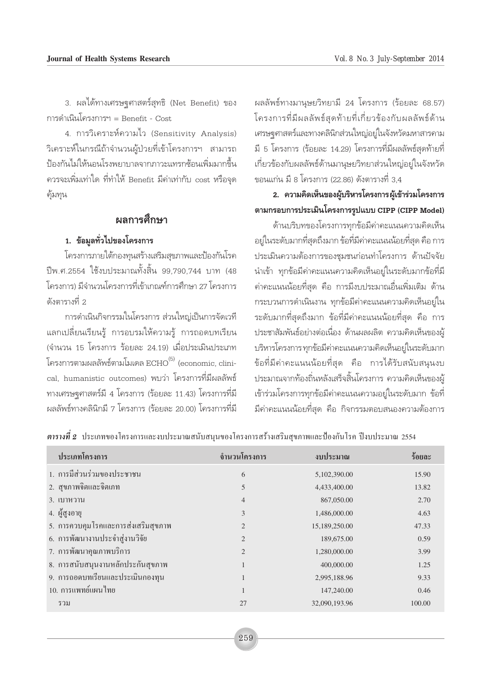3. ผลได้ทางเศรษฐศาสตร์สุทธิ (Net Benefit) ของ การดำเนินโครงการฯ = Benefit - Cost

4. การวิเคราะห์ความไว (Sensitivity Analysis) วิเคราะห์ในกรณีถ้าจำนวนผู้ป่วยที่เข้าโครงการฯ สามารถ ป้องกันไม่ให้นอนโรงพยาบาลจากภาวะแทรกซ้อนเพิ่มมากขึ้น ควรจะเพิ่มเท่าใด ที่ทำให้ Benefit มีค่าเท่ากับ cost หรือจุด คุ้มทุน

### ผลการศึกษา

#### 1. ข้อมูลทั่วไปของโครงการ

โครงการภายใต้กองทุนสร้างเสริมสุขภาพและป้องกันโรค ปีพ.ศ.2554 ใช้งบประมาณทั้งสิ้น 99,790,744 บาท (48 โครงการ) มีจำนวนโครงการที่เข้าเกณฑ์การศึกษา 27 โครงการ ดังตารางที่ 2

การดำเนินกิจกรรมในโครงการ ส่วนใหญ่เป็นการจัดเวที แลกเปลี่ยนเรียนรู้ การอบรมให้ความรู้ การถอดบทเรียน (จำนวน 15 โครงการ ร้อยละ 24.19) เมื่อประเมินประเภท โครงการตามผลลัพธ์ตามโมเดล  $\mathrm{ECHO}^{(5)}$  (economic, clinical, humanistic outcomes) พบว่า โครงการที่มีผลลัพธ์ ทางเศรษฐศาสตร์มี 4 โครงการ (ร้อยละ 11.43) โครงการที่มี ผลลัพธ์ทางคลินิกมี 7 โครงการ (ร้อยละ 20.00) โครงการที่มี

ผลลัพธ์ทางมานุษยวิทยามี 24 โครงการ (ร้อยละ 68.57) โครงการที่มีผลลัพธ์สุดท้ายที่เกี่ยวข้องกับผลลัพธ์ด้าน เศรษจุศาสตร์และทางคลินิกส่วนใหญ่อยู่ในจังหวัดมหาสารคาม มี 5 โครงการ (ร้อยละ 14.29) โครงการที่มีผลลัพธ์สุดท้ายที่ เกี่ยวข้องกับผลลัพธ์ด้านมานุษยวิทยาส่วนใหญ่อยู่ในจังหวัด ขอนแก่น มี 8 โครงการ (22.86) ดังตารางที่ 3.4

# 2. ความคิดเห็นของผู้บริหารโครงการผู้เข้าร่วมโครงการ ตามกรอบการประเมินโครงการรูปแบบ CIPP (CIPP Model)

ด้านบริบทของโครงการทุกข้อมีค่าคะแนนความคิดเห็น อยู่ในระดับมากที่สุดถึงมาก ข้อที่มีค่าคะแนนน้อยที่สุด คือ การ ประเมินความต้องการของชุมชนก่อนทำโครงการ ด้านปัจจัย ้นำเข้า ทุกข้อมีค่าคะแนนความคิดเห็นอยู่ในระดับมากข้อที่มี ้ค่าคะแนนน้อยที่สุด คือ การมีงบประมาณอื่นเพิ่มเติม ด้าน ้กระบวนการดำเนินงาน ทุกข้อมีค่าคะแนนความคิดเห็นอยู่ใน ระดับมากที่สุดถึงมาก ข้อที่มีค่าคะแนนน้อยที่สุด คือ การ ประชาสัมพันธ์อย่างต่อเนื่อง ด้านผลผลิต ความคิดเห็นของผู้ บริหารโครงการทุกข้อมีค่าคะแนนความคิดเห็นอยู่ในระดับมาก ข้อที่มีค่าคะแนนน้อยที่สุด คือ การได้รับสนับสนุนงบ ประมาณจากท้องถิ่นหลังเสร็จสิ้นโครงการ ความคิดเห็นของผู้ เข้าร่วมโครงการทุกข้อมีค่าคะแนนความอยู่ในระดับมาก ข้อที่ ้มีค่าคะแนนน้อยที่สุด คือ กิจกรรมตอบสนองความต้องการ

| ประเภทโครงการ                       | จำนวนโครงการ                | ึงบประมาณ     | ร้อยละ |
|-------------------------------------|-----------------------------|---------------|--------|
| 1. การมีส่วนร่วมของประชาชน          | 6                           | 5,102,390.00  | 15.90  |
| 2. สุขภาพจิตและจิตเภท               | 5                           | 4,433,400.00  | 13.82  |
| 3. เบาหวาน                          | $\overline{4}$              | 867,050.00    | 2.70   |
| 4. ผู้สูงอายุ                       | 3                           | 1,486,000.00  | 4.63   |
| 5. การควบคุมโรคและการส่งเสริมสุขภาพ | $\overline{2}$              | 15,189,250.00 | 47.33  |
| 6. การพัฒนางานประจำสู่งานวิจัย      | 2                           | 189,675.00    | 0.59   |
| 7. การพัฒนาคุณภาพบริการ             | $\mathcal{D}_{\mathcal{L}}$ | 1,280,000.00  | 3.99   |
| 8. การสนับสนุนงานหลักประกันสุขภาพ   | $\mathbf{1}$                | 400,000.00    | 1.25   |
| 9. การถอดบทเรียนและประเมินกองทุน    | 1                           | 2,995,188.96  | 9.33   |
| 10. การแพทย์แผนไทย                  |                             | 147,240.00    | 0.46   |
| รวม                                 | 27                          | 32,090,193.96 | 100.00 |

ี <mark>ตารางที่ 2</mark> ประเภทของโครงการและงบประมาณสนับสนุนของโครงการสร้างเสริมสุขภาพและป้องกันโรค ปีงบประมาณ 2554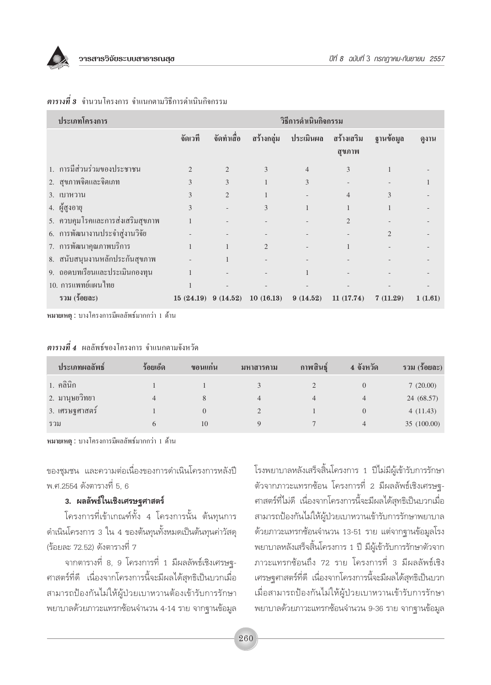

| ประเภทโครงการ                    | วิธีการดำเนินกิจกรรม    |                |                |                |                      |                |         |
|----------------------------------|-------------------------|----------------|----------------|----------------|----------------------|----------------|---------|
|                                  | จัดเวที                 | จัดทำเสื้อ     | สร้างกลุ่ม     | ประเมินผล      | สร้างเสริม<br>สุขภาพ | ฐานข้อมูล      | ดูงาน   |
| 1. การมีส่วนร่วมของประชาชน       | $\overline{c}$          | $\overline{c}$ | 3              | $\overline{4}$ | 3                    | 1              |         |
| 2. สุขภาพจิตและจิตเภท            | 3                       | 3              |                | 3              |                      |                |         |
| 3. เบาหวาน                       | 3                       | $\overline{2}$ |                |                | $\overline{4}$       | 3              |         |
| 4. ผู้สูงอายุ                    | 3                       |                | 3              |                |                      |                |         |
| 5. ควบคุมโรคและการส่งเสริมสุขภาพ |                         |                |                |                | 2                    |                |         |
| 6. การพัฒนางานประจำสู่งานวิจัย   |                         |                |                |                |                      | $\overline{2}$ |         |
| 7. การพัฒนาคุณภาพบริการ          |                         |                | $\overline{2}$ |                |                      |                |         |
| 8. สนับสนุนงานหลักประกันสุขภาพ   |                         |                |                |                |                      |                |         |
| 9. ถอดบทเรียนและประเมินกองทุน    |                         |                |                |                |                      |                |         |
| 10. การแพทย์แผนไทย               |                         |                |                |                |                      |                |         |
| รวม (ร้อยละ)                     | $15(24.19)$ 9 $(14.52)$ |                | 10(16.13)      | 9(14.52)       | 11(17.74)            | 7(11.29)       | 1(1.61) |

#### **ตารางที่ 3** จำนวนโครงการ จำแนกตามวิธีการคำเนินกิจกรรม

หมายเหตุ : บางโครงการมีผลลัพธ์มากกว่า 1 ด้าน

| ประเภทผลลัพธ์  | ร้อยเอ็ด     | ึงอนแก่น | มหาสารคาม | กาพสินธุ์ | 4 จังหวัด | รวม (ร้อยละ) |
|----------------|--------------|----------|-----------|-----------|-----------|--------------|
| 1. คลินิก      |              |          |           |           |           | 7(20.00)     |
| 2. มานุษยวิทยา | 4            |          | 4         | 4         | 4         | 24 (68.57)   |
| 3. เศรษฐศาสตร์ |              |          |           |           | $\Omega$  | 4(11.43)     |
| ี รวม          | <sub>(</sub> | 10       | Q         |           | 4         | 35 (100.00)  |

### **ตารางที่ 4** ผลลัพธ์ของโครงการ จำแนกตามจังหวัด

หมายเหตุ : บางโครงการมีผลลัพธ์มากกว่า 1 ด้าน

ของชุมชน และความต่อเนื่องของการดำเนินโครงการหลังปี พ.ศ.2554 ดังตารางที่ 5, 6

#### 3. ผลลัพธ์ในเชิงเศรษฐศาสตร์

โครงการที่เข้าเกณฑ์ทั้ง 4 โครงการนั้น ต้นทุนการ ้ดำเนินโครงการ 3 ใน 4 ของต้นทุนทั้งหมดเป็นต้นทุนค่าวัสดุ (ร้อยละ 72.52) ดังตารางที่ 7

จากตารางที่ 8, 9 โครงการที่ 1 มีผลลัพธ์เชิงเศรษฐ-ิศาสตร์ที่ดี เนื่องจากโครงการนี้จะมีผลได้สทธิเป็นบวกเมื่อ สามารถป้องกันไม่ให้ผู้ป่วยเบาหวานต้องเข้ารับการรักษา พยาบาลด้วยภาวะแทรกซ้อนจำนวน 4-14 ราย จากฐานข้อมูล โรงพยาบาลหลังเสร็จสิ้นโครงการ 1 ปีไม่มีผู้เข้ารับการรักษา ตัวจากภาวะแทรกซ้อน โครงการที่ 2 มีผลลัพธ์เชิงเศรษจุ-ิศาสตร์ที่ไม่ดี เนื่องจากโครงการนี้จะมีผลได้สุทธิเป็นบวกเมื่อ สามารถป้องกันไม่ให้ผู้ป่วยเบาหวานเข้ารับการรักษาพยาบาล ้ด้วยภาวะแทรกซ้อนจำนวน 13-51 ราย แต่จากฐานข้อมูลโรง ้พยาบาลหลังเสร็จสิ้นโครงการ 1 ปี มีผู้เข้ารับการรักษาตัวจาก ภาวะแทรกซ้อนถึง 72 ราย โครงการที่ 3 มีผลลัพธ์เชิง เศรษจศาสตร์ที่ดี เนื่องจากโครงการนี้จะมีผลได้สทธิเป็นบวก ้เมื่อสามารถป้องกันไม่ให้ผู้ป่วยเบาหวานเข้ารับการรักษา พยาบาลด้วยภาวะแทรกซ้อนจำนวน 9-36 ราย จากฐานข้อมูล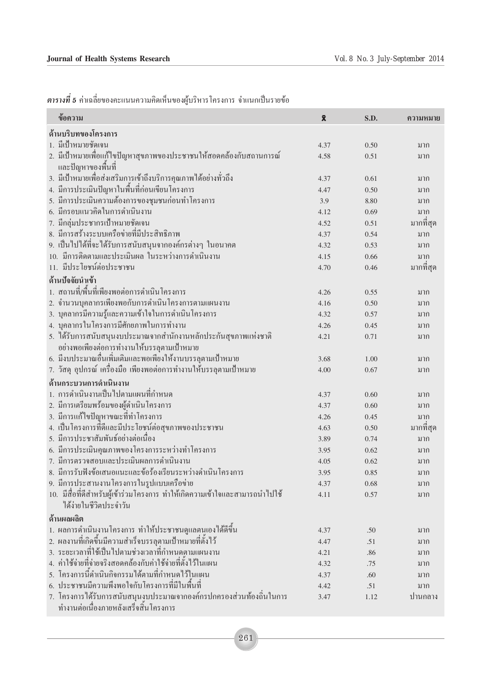ี <mark>ตารางที่ 5</mark> ค่าเฉลี่ยของคะแนนความคิดเห็นของผู้บริหาร โครงการ จำแนกเป็นรายข้อ

| ข้อความ                                                                     | $\bar{\mathbf{X}}$ | S.D. | ความหมาย  |
|-----------------------------------------------------------------------------|--------------------|------|-----------|
| ด้านบริบทของโครงการ                                                         |                    |      |           |
| 1. มีเป้าหมายชัดเจน                                                         | 4.37               | 0.50 | มาก       |
| 2. มีเป้าหมายเพื่อแก้ไขปัญหาสุขภาพของประชาชนให้สอดคล้องกับสถานการณ์         | 4.58               | 0.51 | มาก       |
| และปัญหาของพื้นที่                                                          |                    |      |           |
| 3. มีเป้าหมายเพื่อส่งเสริมการเข้าถึงบริการคุณภาพใด้อย่างทั่วถึง             | 4.37               | 0.61 | มาก       |
| 4. มีการประเมินปัญหาในพื้นที่ก่อนเขียนโครงการ                               | 4.47               | 0.50 | มาก       |
| 5. มีการประเมินความต้องการของชุมชนก่อนทำโครงการ                             | 3.9                | 8.80 | มาก       |
| 6. มีกรอบแนวคิดในการดำเนินงาน                                               | 4.12               | 0.69 | มาก       |
| 7. มีกลุ่มประชากรเป้าหมายชัดเจน                                             | 4.52               | 0.51 | มากที่สุด |
| 8. มีการสร้างระบบเครือข่ายที่มีประสิทธิภาพ                                  | 4.37               | 0.54 | มาก       |
| 9. เป็นไปได้ที่จะได้รับการสนับสนุนจากองค์กรต่างๆ ในอนาคต                    | 4.32               | 0.53 | มาก       |
| 10. มีการติดตามและประเมินผล ในระหว่างการดำเนินงาน                           | 4.15               | 0.66 | มาก       |
| 11. มีประโยชน์ต่อประชาชน                                                    | 4.70               | 0.46 | มากที่สุด |
| ด้านปัจจัยนำเข้า                                                            |                    |      |           |
| 1. สถานที่/พื้นที่เพียงพอต่อการคำเนินโครงการ                                | 4.26               | 0.55 | มาก       |
| 2. จำนวนบุคลากรเพียงพอกับการคำเนินโครงการตามแผนงาน                          | 4.16               | 0.50 | มาก       |
| 3. บุคลากรมีความรู้และความเข้าใจในการดำเนินโครงการ                          | 4.32               | 0.57 | มาก       |
| 4. บุคลากรในโครงการมีศักยภาพในการทำงาน                                      | 4.26               | 0.45 | มาก       |
| 5. ใค้รับการสนับสนุนงบประมาณจากสำนักงานหลักประกันสุขภาพแห่งชาติ             | 4.21               | 0.71 | มาก       |
| อย่างพอเพียงต่อการทำงานให้บรรลุตามเป้าหมาย                                  |                    |      |           |
| 6. มีงบประมาณอื่นเพิ่มเติมและพอเพียงให้งานบรรลุตามเป้าหมาย                  | 3.68               | 1.00 | มาก       |
| 7. วัสคุ อุปกรณ์ เครื่องมือ เพียงพอต่อการทำงานให้บรรลุตามเป้าหมาย           | 4.00               | 0.67 | มาก       |
| ด้านกระบวนการดำเนินงาน                                                      |                    |      |           |
| 1. การดำเนินงานเป็นไปตามแผนที่กำหนด                                         | 4.37               | 0.60 | มาก       |
| 2. มีการเตรียมพร้อมของผู้คำเนินโครงการ                                      | 4.37               | 0.60 | มาก       |
| 3. มีการแก้ไขปัญหาขณะที่ทำโครงการ                                           | 4.26               | 0.45 | มาก       |
| 4. เป็นโครงการที่ดีและมีประโยชน์ต่อสุขภาพของประชาชน                         | 4.63               | 0.50 | มากที่สุด |
| 5. มีการประชาสัมพันธ์อย่างต่อเนื่อง                                         | 3.89               | 0.74 | มาก       |
| 6. มีการประเมินคุณภาพของโครงการระหว่างทำโครงการ                             | 3.95               | 0.62 | มาก       |
| 7. มีการตรวจสอบและประเมินผลการดำเนินงาน                                     | 4.05               | 0.62 | มาก       |
| 8. มีการรับฟังข้อเสนอแนะและข้อร้องเรียนระหว่างดำเนินโครงการ                 | 3.95               | 0.85 | มาก       |
| 9. มีการประสานงานโครงการในรูปแบบเครือข่าย                                   | 4.37               | 0.68 | มาก       |
| 10. มีสื่อที่ดีสำหรับผู้เข้าร่วมโครงการ ทำให้เกิดความเข้าใจและสามารถนำไปใช้ | 4.11               | 0.57 | มาก       |
| ได้ง่ายในชีวิตประจำวัน                                                      |                    |      |           |
| ด้านผลผลิต                                                                  |                    |      |           |
| 1. ผลการดำเนินงานโครงการ ทำให้ประชาชนดูแลตนูเองได้ดีขึ้น                    | 4.37               | .50  | มาก       |
| 2. ผลงานที่เกิดขึ้นมีความสำเร็จบรรลุตามเป้าหมายที่ตั้งไว้                   | 4.47               | .51  | มาก       |
| 3. ระยะเวลาที่ใช้เป็นไปตามช่วงเวลาที่กำหนดตามแผนงาน                         | 4.21               | .86  | มาก       |
| 4. ค่าใช้จ่ายที่จ่ายจริงสอดคล้องกับค่าใช้จ่ายที่ตั้งไว้ในแผน                | 4.32               | .75  | มาก       |
| 5. โครงการนี้ดำเนินกิจกรรมใด้ตามที่กำหนดไว้ในแผน                            | 4.37               | .60  | มาก       |
| 6. ประชาชนมีความพึงพอใจกับโครงการที่มีในพื้นที่                             | 4.42               | .51  | มาก       |
| 7. โครงการได้รับการสนับสนุนงูบประมาณจากองค์กรปกครองส่วนท้องถิ่นในการ        | 3.47               | 1.12 | ปานกลาง   |
| ์ ทำงานต่อเนื่องภายหลังเสร็จสิ้นโครงการ                                     |                    |      |           |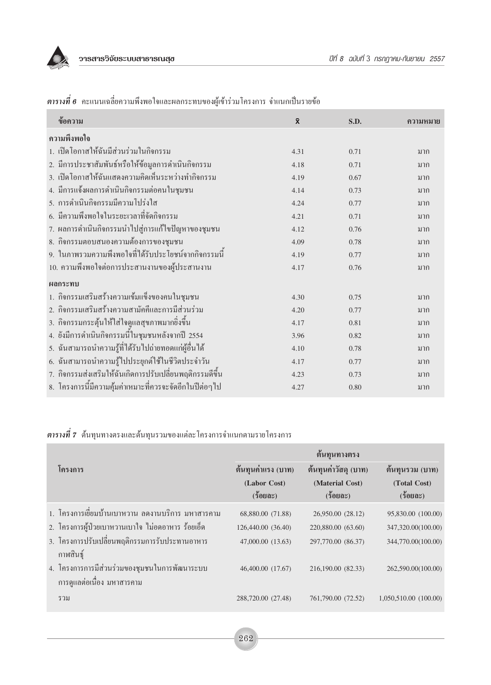

| ข้อความ                                                  | $\bar{\mathbf{x}}$ | S.D. | ความหมาย |
|----------------------------------------------------------|--------------------|------|----------|
| ความพึ่งพอใจ                                             |                    |      |          |
| 1. เปิดโอกาสให้ฉันมีส่วนร่วมในกิจกรรม                    | 4.31               | 0.71 | มาก      |
| 2. มีการประชาสัมพันธ์หรือให้ข้อมูลการคำเนินกิจกรรม       | 4.18               | 0.71 | มาก      |
| 3. เปิดโอกาสให้ฉันแสดงความคิดเห็นระหว่างทำกิจกรรม        | 4.19               | 0.67 | มาก      |
| 4. มีการแจ้งผลการคำเนินกิจกรรมต่อคนในชุมชน               | 4.14               | 0.73 | มาก      |
| 5. การคำเนินกิจกรรมมีความโปร่งใส                         | 4.24               | 0.77 | มาก      |
| 6. มีความพึงพอใจในระยะเวลาที่จัดกิจกรรม                  | 4.21               | 0.71 | มาก      |
| 7. ผลการคำเนินกิจกรรมนำไปสู่การแก้ไขปัญหาของชุมชน        | 4.12               | 0.76 | มาก      |
| 8. กิจกรรมตอบสนองความต้องการของชุมชน                     | 4.09               | 0.78 | มาก      |
| 9. ในภาพรวมความพึงพอใจที่ได้รับประโยชน์จากกิจกรรมนี้     | 4.19               | 0.77 | มาก      |
| 10. ความพึงพอใจต่อการประสานงานของผู้ประสานงาน            | 4.17               | 0.76 | มาก      |
| ผลกระทบ                                                  |                    |      |          |
| 1. กิจกรรมเสริมสร้างความเข้มแข็งของคนในชุมชน             | 4.30               | 0.75 | มาก      |
| 2. กิ่งกรรมเสริมสร้างความสามัคคีและการมีส่วนร่วม         | 4.20               | 0.77 | มาก      |
| 3. กิจกรรมกระตุ้นให้ใส่ใจดูแลสุขภาพมากยิ่งขึ้น           | 4.17               | 0.81 | มาก      |
| 4. ยังมีการคำเนินกิจกรรมนี้ในชุมชนหลังจากปี 2554         | 3.96               | 0.82 | มาก      |
| 5. ฉันสามารถนำความรู้ที่ได้รับไปถ่ายทอดแก่ผู้อื่นได้     | 4.10               | 0.78 | มาก      |
| 6. ฉันสามารถนำความรู้ไปประยุกต์ใช้ในชีวิตประจำวัน        | 4.17               | 0.77 | มาก      |
| 7. กิจกรรมส่งเสริมให้ฉันเกิดการปรับเปลี่ยนพฤติกรรมดีขึ้น | 4.23               | 0.73 | มาก      |
| 8. โครงการนี้มีความคุ้มค่าเหมาะที่ควรจะจัดอีกในปีต่อๆไป  | 4.27               | 0.80 | มาก      |

 $\,$ ตารางที่  $\,$ 6 คะแนนเฉลี่ยความพึงพอใจและผลกระทบของผู้เข้าร่วมโครงการ จำแนกเป็นรายข้อ

ี <mark>ตารางที่ 7</mark> ต้นทุนทางตรงและต้นทุนรวมของแต่ละโครงการจำแนกตามรายโครงการ

|                                                                              | ต้นทุนทางตรง       |                      |                       |  |  |  |
|------------------------------------------------------------------------------|--------------------|----------------------|-----------------------|--|--|--|
| โครงการ                                                                      | ต้นทุนค่าแรง (บาท) | ต้นทุนค่าวัสดุ (บาท) | ต้นทุนรวม (บาท)       |  |  |  |
|                                                                              | (Labor Cost)       | (Material Cost)      | (Total Cost)          |  |  |  |
|                                                                              | $(5$ 0 20 $0$ $0$  | $(5$ 0 20 $0$ $0$    | $(5$ 0 20 $0$ $0$     |  |  |  |
| 1. โครงการเขี่ยมบ้านเบาหวาน ลดงานบริการ มหาสารคาม                            | 68,880.00 (71.88)  | 26,950.00 (28.12)    | 95,830.00 (100.00)    |  |  |  |
| 2. โครงการผู้ป่วยเบาหวานเบาใจ ไม่อดอาหาร ร้อยเอ็ด                            | 126,440.00 (36.40) | 220,880.00 (63.60)   | 347,320.00(100.00)    |  |  |  |
| 3. โครงการปรับเปลี่ยนพฤติกรรมการรับประทานอาหาร<br>กาพสินฐ์                   | 47,000.00 (13.63)  | 297,770.00 (86.37)   | 344,770.00(100.00)    |  |  |  |
| 4. โครงการการมีส่วนร่วมของชุมชนในการพัฒนาระบบ<br>ึการดูแลต่อเนื่อง มหาสารคาม | 46,400.00 (17.67)  | 216,190.00 (82.33)   | 262,590.00(100.00)    |  |  |  |
| รวม                                                                          | 288,720.00 (27.48) | 761,790.00 (72.52)   | 1,050,510.00 (100.00) |  |  |  |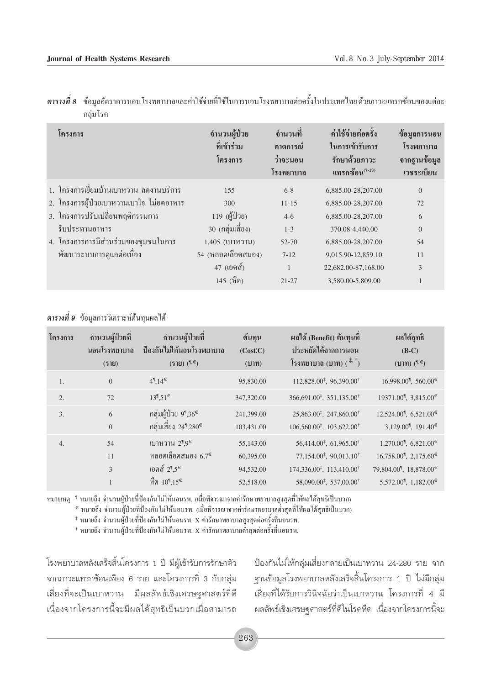| โครงการ                                  | จำนวนผู้ป่วย<br>ที่เข้าร่วม<br>โครงการ | จำนวนที<br>ึคาดการณ์<br>ว่าจะนอน<br>โรงพยาบาล | ค่าใช้จ่ายต่อครั้ง<br>ในการเข้ารับการ<br>รักษาด้วยภาวะ<br>แทรกซ้อน $^{(7-13)}$ | ข้อมูลการนอน<br>โรงพยาบาล<br>จากฐานข้อมูล<br>เวชระเบียน |
|------------------------------------------|----------------------------------------|-----------------------------------------------|--------------------------------------------------------------------------------|---------------------------------------------------------|
| 1. โครงการเขี่ยมบ้านเบาหวาน ลดงานบริการ  | 155                                    | $6 - 8$                                       | 6,885.00-28,207.00                                                             | $\mathbf{0}$                                            |
| 2. โครงการผู้ป่วยเบาหวานเบาใจ ไม่อดอาหาร | 300                                    | $11 - 15$                                     | 6,885.00-28,207.00                                                             | 72                                                      |
| 3. โครงการปรับเปลี่ยนพฤติกรรมการ         | 119 (ผู้ป่วย)                          | $4-6$                                         | 6,885.00-28,207.00                                                             | 6                                                       |
| รับประทานอาหาร                           | 30 (กลุ่มเสี่ยง)                       | $1 - 3$                                       | 370.08-4,440.00                                                                | $\mathbf{0}$                                            |
| 4. โครงการการมีส่วนร่วมของชุมชนในการ     | 1,405 (เบาหวาน)                        | 52-70                                         | 6,885.00-28,207.00                                                             | 54                                                      |
| พัฒนาระบบการดูแลต่อเนื่อง                | 54 (หลอดเลือดสมอง)                     | $7-12$                                        | 9,015.90-12,859.10                                                             | 11                                                      |
|                                          | 47 (เอคส์)                             |                                               | 22,682.00-87,168.00                                                            | 3                                                       |
|                                          | 145 (หิด)                              | $21 - 27$                                     | 3,580.00-5,809.00                                                              |                                                         |

ี **ตารางที่ 8** ข้อมูลอัตราการนอนโรงพยาบาลและค่าใช้จ่ายที่ใช้ในการนอนโรงพยาบาลต่อครั้งในประเทศไทย ด้วยภาวะแทรกซ้อนของแต่ละ กลุ่มโรค

#### **ตารางที่ 9** ข้อมูลการวิเคราะห์ต้นทุนผลได้

| โครงการ          | จำนวนผู้ป่วยที่ | จำนวนผู้ป่วยที่                        | ต้นทุน     | ผลได้ (Benefit) ต้นทุนที                           | ผลได้สุทธิ                                                   |
|------------------|-----------------|----------------------------------------|------------|----------------------------------------------------|--------------------------------------------------------------|
|                  | ้นอนโรงพยาบาล   | ป้องกันไม่ให้นอนโรงพยาบาล              | (Cost.C)   | ประหยัดได้จากการนอน                                | $(B-C)$                                                      |
|                  | (518)           | $(512)$ $(1.6)$                        | (11)       | โรงพยาบาล $(\text{1})$ ( $\ddagger$ , $\ddagger$ ) | $(11)$ ( $\sqrt[4]{\epsilon}$ )                              |
| 1.               | $\overline{0}$  | $4^\P, 14^\in$                         | 95,830.00  | 112,828.00 <sup>‡</sup> , 96,390.00 <sup>†</sup>   | $16,998.00$ <sup>[1</sup> , 560.00 <sup>€</sup>              |
| 2.               | 72              | $13^{\frac{1}{3}}.51^{\in}$            | 347,320.00 | 366,691.00 <sup>‡</sup> , 351,135.00 <sup>†</sup>  | 19371.00 <sup>¶</sup> , 3,815.00 <sup>€</sup>                |
| $\overline{3}$ . | 6               | กลุ่มผู้ป่วย 9¶,36€                    | 241,399.00 | $25,863.00^{\ddagger}, 247,860.00^{\dagger}$       | $12,524.00$ <sup>[1</sup> , 6,521.00 <sup>€</sup>            |
|                  | $\theta$        | กลุ่มเสี่ยง 24¶,280€                   | 103,431.00 | $106,560.00^{\ddagger}, 103,622.00^{\dagger}$      | 3,129.00 <sup>¶</sup> , 191.40 <sup>€</sup>                  |
| $\overline{4}$ . | 54              | เบาหวาน 2 <sup>1</sup> ,9 <sup>€</sup> | 55,143.00  | $56,414.00^{\ddagger}, 61,965.00^{\dagger}$        | $1,270.00$ <sup>[1</sup> , 6,821.00 <sup>€</sup>             |
|                  | 11              | หลอดเลือดสมอง $6.7^{\epsilon}$         | 60,395.00  | $77,154.00^{\ddagger}, 90,013.10^{\dagger}$        | $16,758.00$ <sup>[1</sup> , 2,175.60 <sup>€</sup>            |
|                  | 3               | เอคส์ 2¶5 $\epsilon$                   | 94,532.00  | 174,336,00 <sup>‡</sup> , 113,410.00 <sup>†</sup>  | 79,804.00 <sup>€</sup> , 18,878.00 <sup>€</sup>              |
|                  |                 | หิด $10^{\degree}$ ,15 $\epsilon$      | 52,518.00  | 58,090.00 <sup>‡</sup> , 537,00.00 <sup>†</sup>    | 5,572.00 <sup><math>{q}</math></sup> , 1,182.00 <sup>€</sup> |

หมายเหตุ † หมายถึง จำนวนผู้ป่วยที่ป้องกันไม่ให้นอนรพ. (เมื่อพิจารณาจากค่ารักษาพยาบาลสูงสุดที่ให้ผลได้สุทธิเป็นบวก)

€ หมายถึง จำนวนผู้ป่วยที่ป้องกันไม่ให้นอนรพ. (เมื่อพิจารณาจากค่ารักษาพยาบาลต่ำสุดที่ให้ผลได้สุทธิเป็นบวก)

‡ หมายถึง จำนวนผู้ป่วยที่ป้องกันไม่ให้นอนรพ. X ค่ารักษาพยาบาลสูงสุดต่อครั้งที่นอนรพ.

† หมายถึง จำนวนผู้ป่วยที่ป้องกันไม่ให้นอนรพ. X ค่ารักษาพยาบาลต่ำสุดต่อครั้งที่นอนรพ.

โรงพยาบาลหลังเสร็จสิ้นโครงการ 1 ปี มีผู้เข้ารับการรักษาตัว จากภาวะแทรกซ้อนเพียง 6 ราย และโครงการที่ 3 กับกลุ่ม เสี่ยงที่จะเป็นเบาหวาน มีผลลัพธ์เชิงเศรษฐศาสตร์ที่ดี เนื่องจากโครงการนี้จะมีผลได้สุทธิเป็นบวกเมื่อสามารถ ป้องกันไม่ให้กลุ่มเสี่ยงกลายเป็นเบาหวาน 24-280 ราย จาก ฐานข้อมูลโรงพยาบาลหลังเสร็จสิ้นโครงการ 1 ปี ไม่มีกลุ่ม เสี่ยงที่ได้รับการวินิจฉัยว่าเป็นเบาหวาน โครงการที่ 4 มี ผลลัพธ์เชิงเศรษฐศาสตร์ที่ดีในโรคหืด เนื่องจากโครงการนี้จะ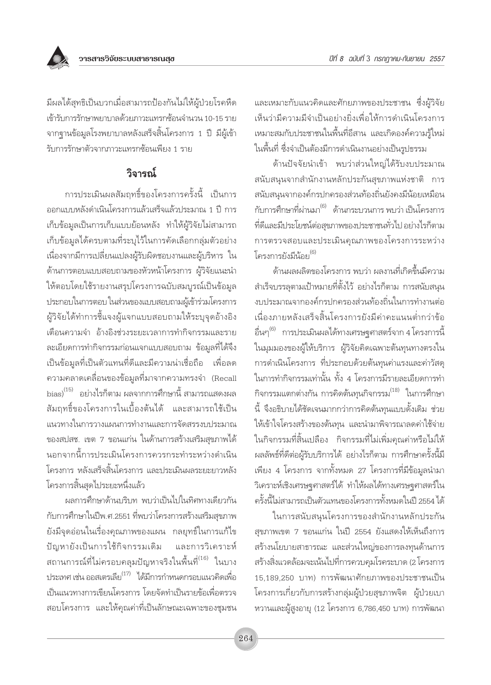มีผลได้สุทธิเป็นบวกเมื่อสามารถป้องกันไม่ให้ผู้ป่วยโรคหืด เข้ารับการรักษาพยาบาลด้วยภาวะแทรกซ้อนจำนวน 10-15 ราย จากฐานข้อมูลโรงพยาบาลหลังเสร็จสิ้นโครงการ 1 ปี มีผู้เข้า รับการรักษาตัวจากภาวะแทรกซ้อนเพียง 1 ราย

## วิจารณ์

การประเมินผลสัมถทธิ์ของโครงการครั้งนี้ เป็นการ ออกแบบหลังดำเนินโครงการแล้วเสร็จแล้วประมาณ 1 ปี การ เก็บข้อมูลเป็นการเก็บแบบย้อนหลัง ทำให้ผู้วิจัยไม่สามารถ เก็บข้อมูลได้ครบตามที่ระบุไว้ในการคัดเลือกกลุ่มตัวอย่าง เนื่องจากมีการเปลี่ยนแปลงผู้รับผิดชอบงานและผู้บริหาร ใน ด้านการตอบแบบสอบถามของหัวหน้าโครงการ ผู้วิจัยแนะนำ ให้ตอบโดยใช้รายงานสรุปโครงการฉบับสมบูรณ์เป็นข้อมูล ประกอบในการตอบ ในส่วนของแบบสอบถามผู้เข้าร่วมโครงการ ผู้วิจัยได้ทำการชี้แจงผู้แจกแบบสอบถามให้ระบุจุดอ้างอิง เตือนความจำ อ้างอิงช่วงระยะเวลาการทำกิจกรรมและราย ิละเอียดการทำกิจกรรมก่อนแจกแบบสอบถาม ข้อมูลที่ได้จึง เป็นข้อมูลที่เป็นตัวแทนที่ดีและมีความน่าเชื่อถือ เพื่อลด ิ ความคลาดเคลื่อนของข้อมูลที่มาจากความทรงจำ (Recall bias)<sup>(15)</sup> อย่างไรก็ตาม ผลจากการศึกษานี้ สามารถแสดงผล สัมถทธิ์ของโครงการในเบื้องต้นได้ และสามารถใช้เป็น แนวทางในการวางแผนการทำงานและการจัดสรรงบประมาณ ของสปสช. เขต 7 ขอนแก่น ในด้านการสร้างเสริมสุขภาพได้ นอกจากนี้การประเมินโครงการควรกระทำระหว่างดำเนิน โครงการ หลังเสร็จสิ้นโครงการ และประเมินผลระยะยาวหลัง โครงการสิ้นสดไประยะหนึ่งแล้ว

ผลการศึกษาด้านบริบท พบว่าเป็นไปในทิศทางเดียวกัน กับการศึกษาในปีพ.ศ.2551 ที่พบว่าโครงการสร้างเสริมสขภาพ ยังมีจุดอ่อนในเรื่องคุณภาพของแผน กลยุทธ์ในการแก้ไข และการวิเคราะห์ ปัญหายังเป็นการใช้กิจกรรมเดิม ิสถานการณ์ที่ไม่ครอบคลุมปัญหาจริงในพื้นที<sup>่(16)</sup> ในบาง ประเทศ เช่น ออสเตรเลีย<sup>(17)</sup> ได้มีการกำหนดกรอบแนวคิดเพื่อ เป็นแนวทางการเขียนโครงการ โดยจัดทำเป็นรายข้อเพื่อตรวจ สอบโครงการ และให้คุณค่าที่เป็นลักษณะเฉพาะของชุมชน และเหมาะกับแนวคิดและศักยภาพของประชาชน ซึ่งผู้วิจัย เห็นว่ามีความมีจำเป็นอย่างยิ่งเพื่อให้การดำเนินโครงการ เหมาะสมกับประชาชนในพื้นที่อีสาน และเกิดองค์ความรู้ใหม่ ในพื้นที่ ซึ่งจำเป็นต้องมีการดำเนินงานอย่างเป็นรูปธรรม

ด้านปัจจัยนำเข้า พบว่าส่วนใหญ่ได้รับงบประมาณ สนับสนุนจากสำนักงานหลักประกันสุขภาพแห่งชาติ การ สนับสนนจากองค์กรปกครองส่วนท้องถิ่นยังคงมีน้อยเหมือน กับการศึกษาที่ผ่านมา<sup>(6)</sup> ด้านกระบวนการ พบว่า เป็นโครงการ ู้ที่ดีและมีประโยชน์ต่อสขภาพของประชาชนทั่วไป อย่างไรก็ตาม การตรวจสอบและประเมินคุณภาพของโครงการระหว่าง โครงการยังมีน้อย<sup>(6)</sup>

้ด้านผลผลิตของโครงการ พบว่า ผลงานที่เกิดขึ้นมีความ ้สำเร็จบรรลุตามเป้าหมายที่ตั้งไว้ อย่างไรก็ตาม การสนับสนุน งบประมาณจากองค์กรปกครองส่วนท้องถิ่นในการทำงานต่อ เนื่องภายหลังเสร็จสิ้นโครงการยังมีค่าคะแนนต่ำกว่าข้อ อื่นๆ<sup>(6)</sup> การประเมินผลได้ทางเศรษฐศาสตร์จาก 4 โครงการนี้ ในมุมมองของผู้ให้บริการ ผู้วิจัยคิดเฉพาะต้นทุนทางตรงใน การดำเนินโครงการ ที่ประกอบด้วยต้นทุนค่าแรงและค่าวัสดุ ในการทำกิจกรรมเท่านั้น ทั้ง 4 โครงการมีรายละเอียดการทำ กิจกรรมแตกต่างกัน การคิดต้นทุนกิจกรรม<sup>(18)</sup> ในการศึกษา ้นี้ จึงอธิบายได้ชัดเจนมากกว่าการคิดต้นทุนแบบดั้งเดิม ช่วย ให้เข้าใจโครงสร้างของต้นทุน และนำมาพิจารณาลดค่าใช้จ่าย ในกิจกรรมที่สิ้นเปลือง กิจกรรมที่ไม่เพิ่มคุณค่าหรือไม่ให้ ผลลัพธ์ที่ดีต่อผู้รับบริการได้ อย่างไรก็ตาม การศึกษาครั้งนี้มี เพียง 4 โครงการ จากทั้งหมด 27 โครงการที่มีข้อมูลนำมา วิเคราะห์เชิงเศรษฐศาสตร์ได้ ทำให้ผลได้ทางเศรษฐศาสตร์ใน ครั้งนี้ไม่สามารถเป็นตัวแทนของโครงการทั้งหมดในปี 2554 ได้

ในการสนับสนุนโครงการของสำนักงานหลักประกัน สุขภาพเขต 7 ขอนแก่น ในปี 2554 ยังแสดงให้เห็นถึงการ สร้างนโยบายสาธารณะ และส่วนใหญ่ของการลงทุนด้านการ สร้างสิ่งแวดล้อมจะเน้นไปที่การควบคุมโรคระบาด (2 โครงการ 15,189,250 บาท) การพัฒนาศักยภาพของประชาชนเป็น โครงการเกี่ยวกับการสร้างกลุ่มผู้ป่วยสุขภาพจิต ผู้ป่วยเบา หวานและผู้สูงอายุ (12 โครงการ 6,786,450 บาท) การพัฒนา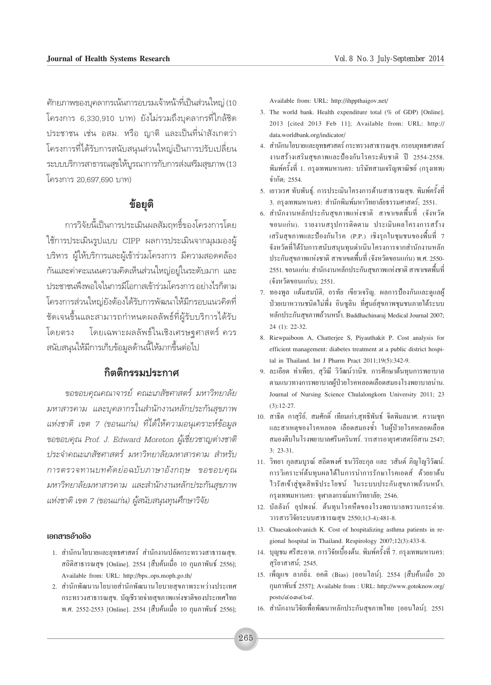์ศักยภาพของบคลากรเน้นการอบรมเจ้าหน้าที่เป็นส่วนใหญ่ (10 โครงการ 6,330,910 บาท) ยังไม่รวมถึงบุคลากรที่ใกล้ชิด ประชาชน เช่น อสม. หรือ ฌาติ และเป็นที่น่าสังเกตว่า โครงการที่ได้รับการสนับสนุนส่วนใหญ่เป็นการปรับเปลี่ยน ระบบบริการสาธารณสุขให้บูรณาการกับการส่งเสริมสุขภาพ (13 โครงการ 20.697.690 บาท)

### ข้อยุติ

การวิจัยนี้เป็นการประเมินผลสัมฤทธิ์ของโครงการโดย ใช้การประเมินรูปแบบ CIPP ผลการประเมินจากมุมมองผู้ บริหาร ผู้ให้บริการและผู้เข้าร่วมโครงการ มีความสอดคล้อง ้กันและค่าคะแนนความคิดเห็นส่วนใหญ่อยู่ในระดับมาก และ ประชาชนพึงพอใจในการมีโอกาสเข้าร่วมโครงการ อย่างไรก็ตาม โครงการส่วนใหญ่ยังต้องได้รับการพัฒนาให้มีกรอบแนวคิดที่ ชัดเจนขึ้นและสามารถกำหนดผลลัพธ์ที่ผู้รับบริการได้รับ โดยเฉพาะผลลัพธ์ในเชิงเศรษจุศาสตร์ ควร โดยตรง สนับสนุนให้มีการเก็บข้อมูลด้านนี้ให้มากขึ้นต่อไป

#### กิตติกรรมประกาศ

ขอขอบคุณคุณาจารย์ คุณะเภสัชศาสตร์ มหาวิทยาลัย ุมหาสารคาม และบุคลากรในสำนักงานหลักประกันสุขภาพ แห่งชาติ เขต 7 (ขอนแก่น) ที่ได้ให้ความอนุเคราะห์ข้อมูล ขอขอบคุณ Prof. J. Edward Moreton ผู้เชี่ยวชาญต่างชาติ ประจำคณะเภสัชศาสตร์ มหาวิทยาลัยมหาสารคาม สำหรับ การตรวจทานบทคัดย่อฉบับภาษาอังกฤษ ขอขอบคุณ มหาวิทยาลัยมหาสารคาม และสำนักงานหลักประกันสุขภาพ แห่งชาติ เขต 7 (ขอนแก่น) ผู้สนับสนุนทุนศึกษาวิจัย

#### เอกสารอ้างอิง

- 1. สำนักนโยบายและยุทธศาสตร์ สำนักงานปลัดกระทรวงสาธารณสุข. สถิติสาธารณสุข [Online]. 2554 [สืบค้นเมื่อ 10 กุมภาพันธ์ 2556]; Available from: URL: http://bps..ops.moph.go.th/
- 2. สำนักพัฒนานโยบายสำนักพัฒนานโยบายสุขภาพระหว่างประเทศ กระทรวงสาธารณสุข. บัญชีรายจ่ายสุขภาพแห่งชาติของประเทศไทย พ.ศ. 2552-2553 [Online]. 2554 [สืบค้นเมื่อ 10 กุมภาพันธ์ 2556];

Available from: URL: http://ihppthaigov.net/

- 3. The world bank. Health expenditure total (% of GDP) [Online]. 2013 [cited 2013 Feb 11]; Available from: URL: http:// data.worldbank.org/indicator/
- 4. สำนักนโยบายและยุทธศาสตร์ กระทรวงสาธารณสุข. กรอบยุทธศาสตร์ งานสร้างเสริมสขภาพและป้องกันโรคระดับชาติ ปี 2554-2558. พิมพ์ครั้งที่ 1. กรุงเทพมหานคร: บริษัทสามเจริญพาณิชย์ (กรุงเทพ) จำกัด: 2554.
- 5. เยาวเรศ ทับพันธุ์. การประเมินโครงการด้านสาธารณสุข. พิมพ์ครั้งที่ 3. กรุงเทพมหานคร: สำนักพิมพ์มหาวิทยาลัยธรรมศาสตร์; 2551.
- 6. สำนักงานหลักประกันสุขภาพแห่งชาติ สาขาเขตพื้นที่ (จังหวัด ขอนแก่น). รายงานสรุปการติดตาม ประเมินผลโครงการสร้าง เสริมสขภาพและป้องกันโรค (P.P.) เชิงรกในชมชนของพื้นที่ 7 จังหวัดที่ได้รับการสนับสนุนทุนดำเนินโครงการจากสำนักงานหลัก ประกันสขภาพแห่งชาติ สาขาเขตพื้นที่ (จังหวัดขอนแก่น) พ.ศ. 2550-2551. ขอนแก่น: สำนักงานหลักประกันสขภาพแห่งชาติ สาขาเขตพื้นที่ (จังหวัดขอนแก่น): 2551.
- 7. ทองพูล แต้มสมบัติ, อรทัย เขียวเจริญ. ผลการป้องกันและดูแลผู้ ป่วยเบาหวานชนิดใม่พึ่ง อินซูลิน ที่ศูนย์สุขภาพชุมชนภายใต้ระบบ หลักประกันสุขภาพถ้วนหน้า. Buddhachinaraj Medical Journal 2007;  $24$  (1): 22-32.
- 8. Riewpaiboon A, Chatterjee S, Piyauthakit P. Cost analysis for efficient management: diabetes treatment at a public district hospital in Thailand. Int J Pharm Pract 2011;19(5):342-9.
- 9. ละเอียด ทำเพียร, สวิณี วิวัฒน์วานิช. การศึกษาต้นทนการพยาบาล ตามแนวทางการพยาบาลผู้ป่วยโรคหลอดเลือดสมองโรงพยาบาลน่าน. Journal of Nursing Science Chulalongkorn University 2011; 23  $(3):12-27.$
- 10. สาธิต กาสุริย์, สมศักดิ์ เทียมเก่า,สุทธิพันธ์ จิตพิมลมาศ. ความชุก และสาเหตของโรคหลอด เลือดสมองซ้ำ ในผ้ป่วยโรคหลอดเลือด สมองตีบในโรงพยาบาลศรีนครินทร์, วารสารอายรศาสตร์อิสาน 2547;  $3: 23-31.$
- 11. วิทยา กุลสมบูรณ์ สถิตพงศ์ ธนวิริยะกุล และ วสันต์ ภิญโญวิวัฒน์. การวิเคราะห์ต้นทนผลได้ในการนำการรักษาโรคเอคส์ ด้วยยาต้น ใวรัสเข้าสู่ชุดสิทธิประโยชน์ ในระบบประกันสุขภาพถ้วนหน้า. กรุงเทพมหานคร: จุฬาลงกรณ์มหาวิทยาลัย; 2546.
- 12. บัลลังก์ อปพงษ์. ต้นทนโรคหืดของโรงพยาบาลพรานกระต่าย. วารสารวิจัยระบบสาธารณสุข 2550;1(3-4):481-8.
- 13. Chuesakoolvanich K. Cost of hospitalizing asthma patients in regional hospital in Thailand. Respirology 2007;12(3):433-8.
- 14. บุญชม ศรีสะอาด. การวิจัยเบื้องต้น. พิมพ์ครั้งที่ 7. กรุงเทพมหานคร: สุริยาสาสน์; 2545.
- 15. เพ็ญแข ลาภยิ่ง. อคติ (Bias) [ออนไลน์]. 2554 [สืบค้นเมื่อ 20 กุมภาพันธ์ 2557]; Available from : URL: http://www.gotoknow.org/ posts/comcbd.
- 16. สำนักงานวิจัยเพื่อพัฒนาหลักประกันสุขภาพไทย [ออนไลน์]. 2551